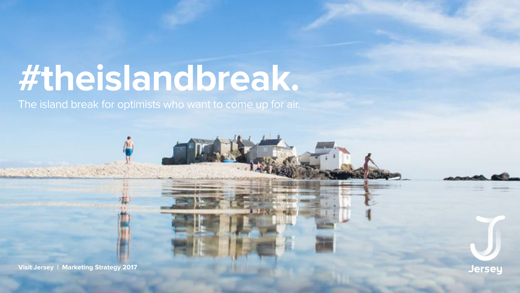# #theislandbreak. The island break for optimists who want to come up for air.

Visit Jersey | Marketing Strategy 2017

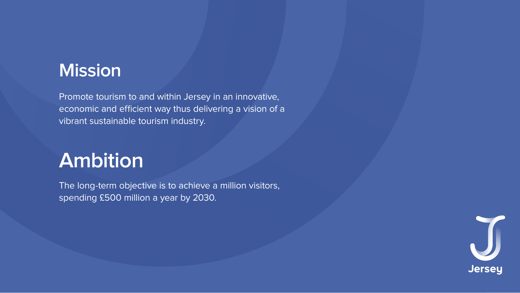# **Mission**

Promote tourism to and within Jersey in an innovative, economic and efficient way thus delivering a vision of a vibrant sustainable tourism industry.

# Ambition

The long-term objective is to achieve a million visitors, spending £500 million a year by 2030.

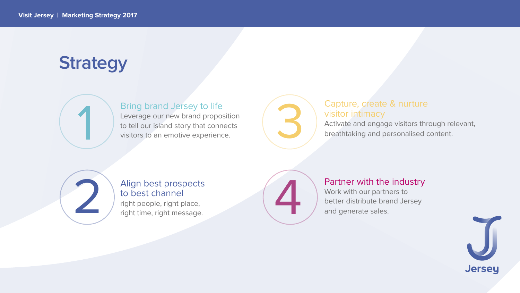# Strategy



### Bring brand Jersey to life

Leverage our new brand proposition to tell our island story that connects visitors to an emotive experience.



### Align best prospects to best channel

right people, right place, right time, right message.



### Capture, create & nurture visitor intimacy

Activate and engage visitors through relevant, breathtaking and personalised content.



### Partner with the industry

Work with our partners to better distribute brand Jersey and generate sales.

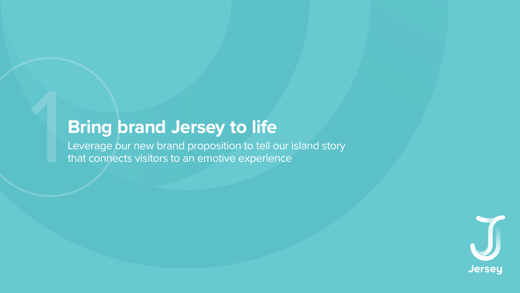# **Bring brand Jersey to life**

Leverage our new brand proposition to tell our island story that connects visitors to an emotive experience

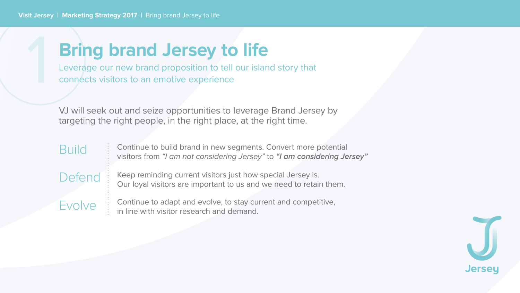# **Bring brand Jersey to life**

Leverage our new brand proposition to tell our island story that connects visitors to an emotive experience

VJ will seek out and seize opportunities to leverage Brand Jersey by targeting the right people, in the right place, at the right time.

**Build** Defend **Evolve** 

Continue to build brand in new segments. Convert more potential visitors from "I am not considering Jersey" to "I am considering Jersey"

Keep reminding current visitors just how special Jersey is. Our loyal visitors are important to us and we need to retain them.

Continue to adapt and evolve, to stay current and competitive, in line with visitor research and demand.

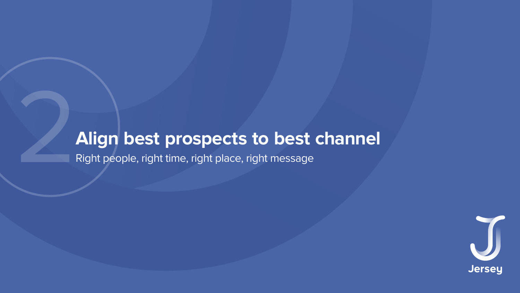# Align best prospects to best channel

Right people, right time, right place, right message

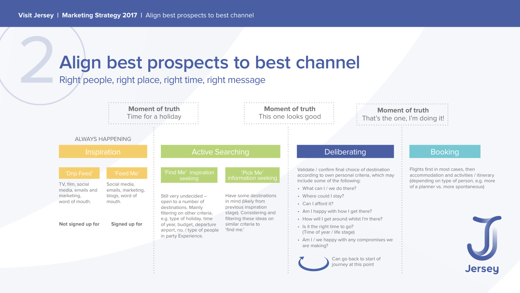# Align best prospects to best channel

Right people, right place, right time, right message

**Moment of truth** 

Time for a holiday

### **ALWAYS HAPPENING**

#### Inspiration

#### 'Drip Feed'

#### TV, film, social media, emails and marketing,

word of mouth.

#### Not signed up for

Social media, emails, marketing, blogs, word of mouth.

'Feed Me'

#### Signed up for

### **Active Searching**

#### 'Find Me' inspiration seeking

Still very undecided open to a number of destinations. Mainly filtering on other criteria, e.g. type of holiday, time of year, budget, departure airport, no. / type of people in party Experience.

Have some destinations in mind (likely from previous inspiration stage). Considering and filtering these ideas on similar criteria to 'find me.'

#### **Moment of truth** This one looks good

### **Moment of truth** That's the one, I'm doing it!

#### 'Pick Me' information seeking

### Deliberating

Validate / confirm final choice of destination according to own personal criteria, which may include some of the following:

- What can I / we do there?
- Where could I stay?
- Can I afford it?
- Am I happy with how I get there?
- How will I get around whilst I'm there?
- · Is it the right time to go? (Time of year / life stage)
- Am I / we happy with any compromises we are making?

Can go back to start of journey at this point

### **Booking**

Flights first in most cases, then accommodation and activities / itinerary (depending on type of person, e.g. more of a planner vs. more spontaneous)



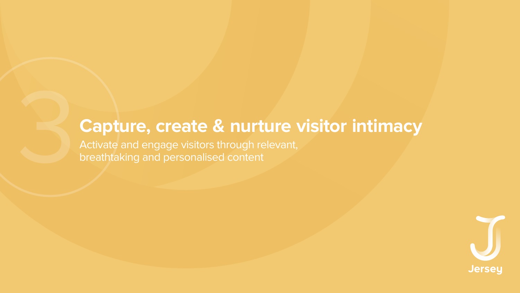# Capture, create & nurture visitor intimacy

Activate and engage visitors through relevant, breathtaking and personalised content

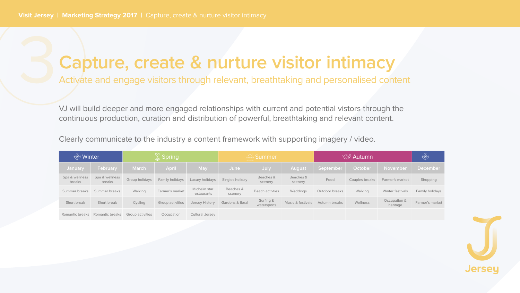# Capture, create & nurture visitor intimacy

Activate and engage visitors through relevant, breathtaking and personalised content

VJ will build deeper and more engaged relationships with current and potential vistors through the continuous production, curation and distribution of powerful, breathtaking and relevant content.

Clearly communicate to the industry a content framework with supporting imagery / video.

| $\frac{1}{2}$ Winter     |                                 | $\frac{1}{\sqrt{2}}$ Spring |                         | <b>Exit Summer</b>           |                      | √ Autumn                 |                              | **                   |                       |                          |                 |
|--------------------------|---------------------------------|-----------------------------|-------------------------|------------------------------|----------------------|--------------------------|------------------------------|----------------------|-----------------------|--------------------------|-----------------|
| <b>January</b>           | February                        | <b>March</b>                | <b>April</b>            | <b>May</b>                   | June                 | July                     | <b>August</b>                | September            | October               | November                 | <b>December</b> |
| Spa & wellness<br>breaks | Spa & wellness<br>breaks        | Group holidays              | <b>Family holidays</b>  | Luxury holidays              | Singles holiday      | Beaches &<br>scenery     | Beaches &<br>scenery         | Food                 | <b>Couples breaks</b> | Farmer's market          | Shopping        |
| Summer breaks            | Summer breaks                   | Walking                     | Farmer's market         | Michelin star<br>restaurants | Beaches &<br>scenery | <b>Beach activties</b>   | Weddings                     | Outdoor breaks       | Walking               | Winter festivals         | Family holidays |
| Short break              | Short break                     | Cycling                     | <b>Group activities</b> | <b>Jersey History</b>        | Gardens & floral     | Surfing &<br>watersports | <b>Music &amp; festivals</b> | <b>Autumn breaks</b> | Wellness              | Occupation &<br>heritage | Farmer's market |
|                          | Romantic breaks Romantic breaks | <b>Group activities</b>     | Occupation              | <b>Cultural Jersey</b>       |                      |                          |                              |                      |                       |                          |                 |

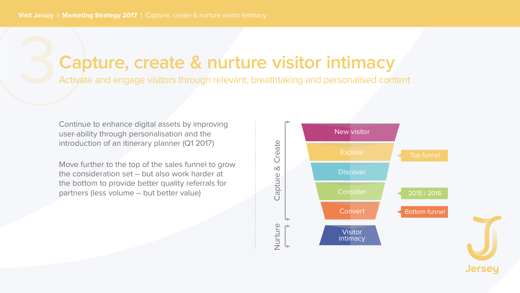## Capture, create & nurture visitor intimacy Activate and engage visitors through relevant, breathtaking and personalised content

Continue to enhance digital assets by improving user-ability through personalisation and the introduction of an itinerary planner (Q1 2017)

Move further to the top of the sales funnel to grow the consideration set - but also work harder at the bottom to provide better quality referrals for partners (less volume - but better value)



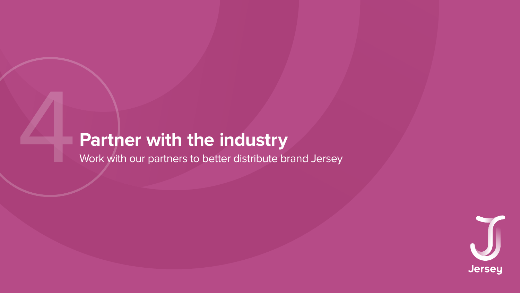# Partner with the industry

Work with our partners to better distribute brand Jersey

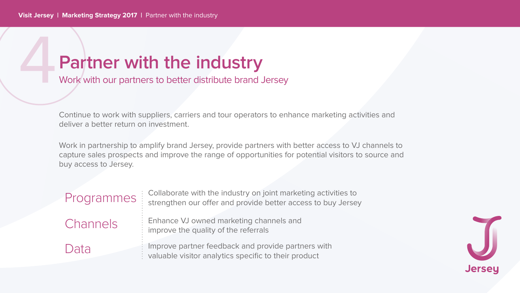## Partner with the industry Work with our partners to better distribute brand Jersey

Continue to work with suppliers, carriers and tour operators to enhance marketing activities and deliver a better return on investment.

Work in partnership to amplify brand Jersey, provide partners with better access to VJ channels to capture sales prospects and improve the range of opportunities for potential visitors to source and buy access to Jersey.

Programmes Channels Data

Collaborate with the industry on joint marketing activities to strengthen our offer and provide better access to buy Jersey

Enhance VJ owned marketing channels and improve the quality of the referrals

Improve partner feedback and provide partners with valuable visitor analytics specific to their product

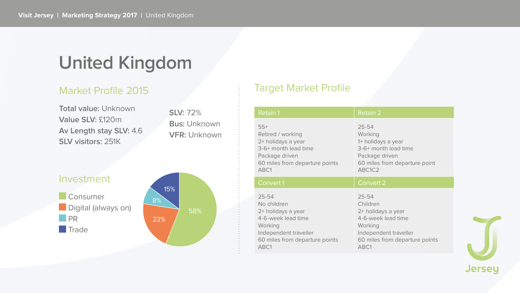# **United Kingdom**

### **Market Profile 2015**

**Total value: Unknown** Value SLV: £120m Av Length stay SLV: 4.6 **SLV visitors: 251K** 

**SLV: 72% Bus: Unknown VFR: Unknown** 

## Investment Consumer Digital (always on) **NORTH Trade**



### **Target Market Profile**

| <b>Retain 1</b>                                                                                                                                    | <b>Retain 2</b>                                                                                                                                 |
|----------------------------------------------------------------------------------------------------------------------------------------------------|-------------------------------------------------------------------------------------------------------------------------------------------------|
| $55+$<br>Retired / working<br>2+ holidays a year<br>3-6+ month lead time<br>Package driven<br>60 miles from departure points<br>ABC1               | $25 - 54$<br>Working<br>1+ holidays a year<br>3-6+ month lead time<br>Package driven<br>60 miles from departure point<br>ABC1C2                 |
| <b>Convert 1</b>                                                                                                                                   | <b>Convert 2</b>                                                                                                                                |
| $25 - 54$<br>No children<br>2+ holidays a year<br>4-6-week lead time<br>Working<br>Independent traveller<br>60 miles from departure points<br>ABC1 | $25 - 54$<br>Children<br>2+ holidays a year<br>4-6-week lead time<br>Working<br>Independent traveller<br>60 miles from departure points<br>ABC1 |

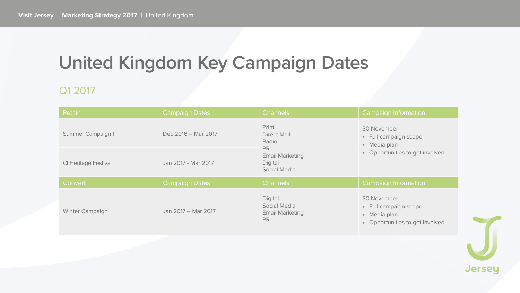# United Kingdom Key Campaign Dates

### Q1 2017

| Retain                      | <b>Campaign Dates</b> |
|-----------------------------|-----------------------|
| <b>Summer Campaign 1</b>    | Dec 2016 - Mar 2017   |
| <b>CI Heritage Festival</b> | Jan 2017 - Mar 2017   |
| Convert                     | <b>Campaign Dates</b> |
| <b>Winter Campaign</b>      | Jan 2017 - Mar 2017   |
|                             |                       |

| <b>Channels</b>                                                                                                      | <b>Campaign Information</b>                                                                                               |
|----------------------------------------------------------------------------------------------------------------------|---------------------------------------------------------------------------------------------------------------------------|
| Print<br><b>Direct Mail</b><br>Radio<br><b>PR</b><br><b>Email Marketing</b><br><b>Digital</b><br><b>Social Media</b> | <b>30 November</b><br><b>Full campaign scope</b><br>$\bullet$<br>Media plan<br>$\bullet$<br>Opportunities to get involved |
| <b>Channels</b>                                                                                                      | <b>Campaign Information</b>                                                                                               |
| <b>Digital</b><br><b>Social Media</b><br><b>Email Marketing</b><br><b>PR</b>                                         | <b>30 November</b><br>Full campaign scope<br>Media plan<br>$\bullet$<br>Opportunities to get involved                     |

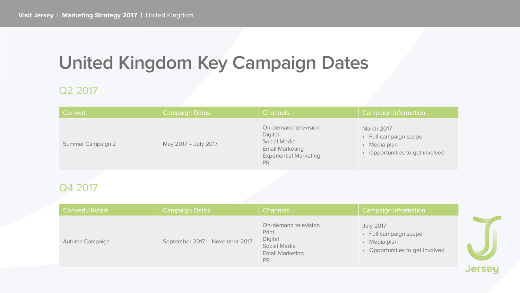# United Kingdom Key Campaign Dates

### Q2 2017

| Convert                  | <b>Campaign Dates</b> |
|--------------------------|-----------------------|
| <b>Summer Campaign 2</b> | May 2017 - July 2017  |

## Q4 2017

| Convert / Retain       | <b>Campaign Dates</b>          | <b>Channels</b>                                                                                               | <b>Campaign Information</b>                                                                  |
|------------------------|--------------------------------|---------------------------------------------------------------------------------------------------------------|----------------------------------------------------------------------------------------------|
| <b>Autumn Campaign</b> | September 2017 - November 2017 | <b>On-demand television</b><br>Print<br>Digital<br><b>Social Media</b><br><b>Email Marketing</b><br><b>PR</b> | <b>July 2017</b><br>• Full campaign scope<br>• Media plan<br>• Opportunities to get involved |

#### Channels

On-demand television Digital **Social Media Email Marketing Experiential Marketing** PR

#### **Campaign Information**

March 2017

- Full campaign scope
- Media plan
- Opportunities to get involved

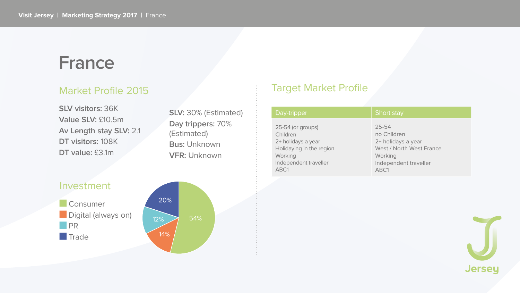## France

### **Market Profile 2015**

**SLV visitors: 36K** Value SLV: £10.5m Av Length stay SLV: 2.1 DT visitors: 108K DT value: £3.1m

SLV: 30% (Estimated) Day trippers: 70% (Estimated) **Bus: Unknown VFR: Unknown** 

## Investment Consumer Digital (always on) **DR** Trade



### **Target Market Profile**

#### Day-tripper

25-54 (or groups) Children 2+ holidays a year Holidaying in the region Working Independent traveller ABC1

#### **Short stay**

25-54 no Children 2+ holidays a year West / North West France Working Independent traveller ABC1

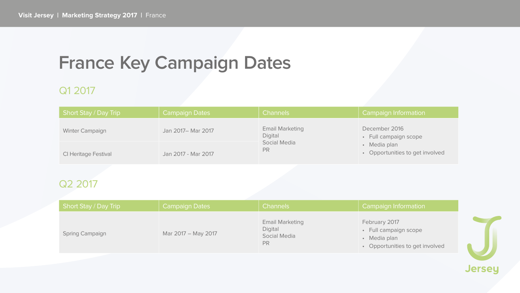# France Key Campaign Dates

### Q1 2017

| <b>Short Stay / Day Trip</b> | <b>Campaign Dates</b> |
|------------------------------|-----------------------|
| <b>Winter Campaign</b>       | Jan 2017 - Mar 2017   |
| <b>CI Heritage Festival</b>  | Jan 2017 - Mar 2017   |

### Q<sub>2</sub> 2017

| <b>Short Stay / Day Trip</b> | <b>Campaign Dates</b> |  |  |
|------------------------------|-----------------------|--|--|
| <b>Spring Campaign</b>       | Mar 2017 - May 2017   |  |  |

#### **Channels**

**Email Marketing** Digital **Social Media** PR

#### **Campaign Information**

December 2016

- Full campaign scope
- · Media plan
- Opportunities to get involved

| <b>Channels</b>                                                              | <b>Campaign Information</b>                                                               |  |
|------------------------------------------------------------------------------|-------------------------------------------------------------------------------------------|--|
| <b>Email Marketing</b><br><b>Digital</b><br><b>Social Media</b><br><b>PR</b> | February 2017<br>• Full campaign scope<br>• Media plan<br>• Opportunities to get involved |  |

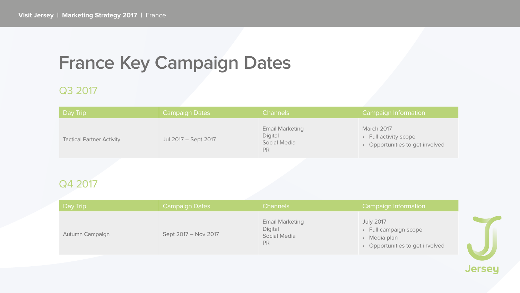# France Key Campaign Dates

### Q3 2017

| Day Trip                         | <b>Campaign Dates</b> |
|----------------------------------|-----------------------|
| <b>Tactical Partner Activity</b> | Jul 2017 - Sept 2017  |

### Q4 2017

| Day Trip               | <b>Campaign Dates</b> |
|------------------------|-----------------------|
| <b>Autumn Campaign</b> | Sept 2017 - Nov 2017  |

#### **Channels**

#### **Campaign Information**

**Email Marketing** Digital **Social Media** PR

March 2017

- Full activity scope
- Opportunities to get involved

**Campaign Information** 

**Email Marketing** Digital **Social Media** PR

#### **July 2017**

- Full campaign scope
- Media plan
- Opportunities to get involved

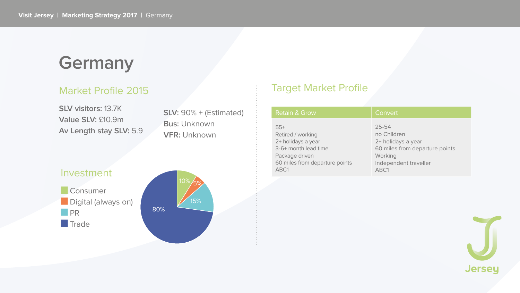# Germany

### **Market Profile 2015**

**SLV visitors: 13.7K** Value SLV: £10.9m Av Length stay SLV: 5.9

SLV: 90% + (Estimated) **Bus: Unknown VFR: Unknown** 



### **Target Market Profile**

| <b>Retain &amp; Grow</b>       | Convert                        |
|--------------------------------|--------------------------------|
| $55+$                          | $25 - 54$                      |
| Retired / working              | no Children                    |
| 2+ holidays a year             | 2+ holidays a year             |
| 3-6+ month lead time           | 60 miles from departure points |
| Package driven                 | Working                        |
| 60 miles from departure points | Independent traveller          |
| ABC1                           | ABC1                           |

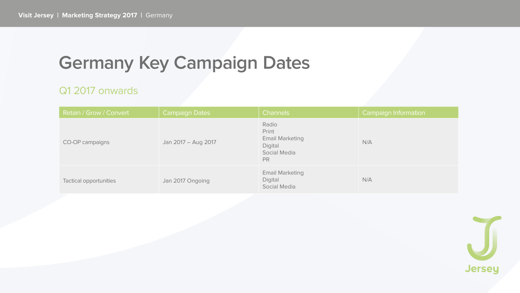# **Germany Key Campaign Dates**

### Q1 2017 onwards

| <b>Retain / Grow / Convert</b> | <b>Campaign Dates</b> |  |
|--------------------------------|-----------------------|--|
| <b>CO-OP campaigns</b>         | Jan 2017 – Aug 2017   |  |
| <b>Tactical opportunities</b>  | Jan 2017 Ongoing      |  |

| <b>Channels</b>                                                                                | <b>Campaign Information</b> |
|------------------------------------------------------------------------------------------------|-----------------------------|
| Radio<br>Print<br><b>Email Marketing</b><br><b>Digital</b><br><b>Social Media</b><br><b>PR</b> | N/A                         |
| <b>Email Marketing</b><br><b>Digital</b><br><b>Social Media</b>                                | N/A                         |

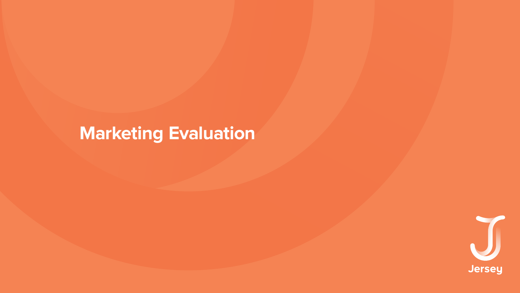# **Marketing Evaluation**



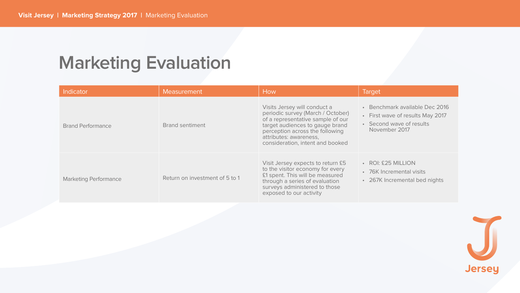# **Marketing Evaluation**

| Indicator                    | <b>Measurement</b>             |  |
|------------------------------|--------------------------------|--|
| <b>Brand Performance</b>     | <b>Brand sentiment</b>         |  |
| <b>Marketing Performance</b> | Return on investment of 5 to 1 |  |

| How                                                                                                                                                                                                                                        | <b>Target</b>                                                                                                        |  |
|--------------------------------------------------------------------------------------------------------------------------------------------------------------------------------------------------------------------------------------------|----------------------------------------------------------------------------------------------------------------------|--|
| Visits Jersey will conduct a<br>periodic survey (March / October)<br>of a representative sample of our<br>target audiences to gauge brand<br>perception across the following<br>attributes: awareness,<br>consideration, intent and booked | • Benchmark available Dec 2016<br><b>First wave of results May 2017</b><br>• Second wave of results<br>November 2017 |  |
| Visit Jersey expects to return £5<br>to the visitor economy for every<br>£1 spent. This will be measured<br>through a series of evaluation<br>surveys administered to those<br>exposed to our activity                                     | • ROI: £25 MILLION<br>76K Incremental visits<br>• 267K Incremental bed nights                                        |  |

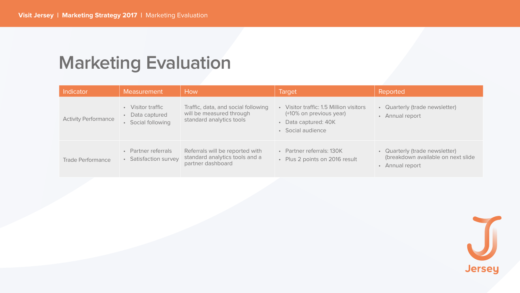# **Marketing Evaluation**

| Indicator                   | <b>Measurement</b>                                                  | How                                                                                         | <b>Target</b>                                                                                               | Reported                                                                                                |
|-----------------------------|---------------------------------------------------------------------|---------------------------------------------------------------------------------------------|-------------------------------------------------------------------------------------------------------------|---------------------------------------------------------------------------------------------------------|
| <b>Activity Performance</b> | Visitor traffic<br>Data captured<br>Social following                | Traffic, data, and social following<br>will be measured through<br>standard analytics tools | Visitor traffic: 1.5 Million visitors<br>(+10% on previous year)<br>Data captured: 40K<br>• Social audience | • Quarterly (trade newsletter)<br><b>Annual report</b><br>$\bullet$                                     |
| <b>Trade Performance</b>    | <b>Partner referrals</b><br>$\bullet$<br><b>Satisfaction survey</b> | Referrals will be reported with<br>standard analytics tools and a<br>partner dashboard      | • Partner referrals: 130K<br>• Plus 2 points on 2016 result                                                 | Quarterly (trade newsletter)<br>$\bullet$<br>(breakdown available on next slide<br><b>Annual report</b> |